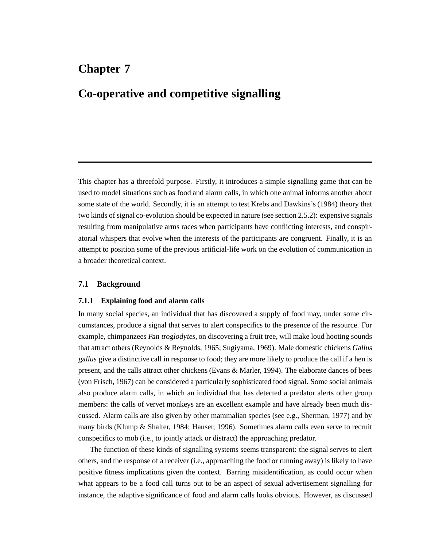# **Chapter 7**

# **Co-operative and competitive signalling**

This chapter has a threefold purpose. Firstly, it introduces a simple signalling game that can be used to model situations such as food and alarm calls, in which one animal informs another about some state of the world. Secondly, it is an attempt to test Krebs and Dawkins's (1984) theory that two kinds of signal co-evolution should be expected in nature (see section 2.5.2): expensive signals resulting from manipulative arms races when participants have conflicting interests, and conspiratorial whispers that evolve when the interests of the participants are congruent. Finally, it is an attempt to position some of the previous artificial-life work on the evolution of communication in a broader theoretical context.

# **7.1 Background**

## **7.1.1 Explaining food and alarm calls**

In many social species, an individual that has discovered a supply of food may, under some circumstances, produce a signal that serves to alert conspecifics to the presence of the resource. For example, chimpanzees Pan troglodytes, on discovering a fruit tree, will make loud hooting sounds that attract others (Reynolds & Reynolds, 1965; Sugiyama, 1969). Male domestic chickens Gallus gallus give a distinctive call in response to food; they are more likely to produce the call if a hen is present, and the calls attract other chickens (Evans & Marler, 1994). The elaborate dances of bees (von Frisch, 1967) can be considered a particularly sophisticated food signal. Some social animals also produce alarm calls, in which an individual that has detected a predator alerts other group members: the calls of vervet monkeys are an excellent example and have already been much discussed. Alarm calls are also given by other mammalian species (see e.g., Sherman, 1977) and by many birds (Klump & Shalter, 1984; Hauser, 1996). Sometimes alarm calls even serve to recruit conspecifics to mob (i.e., to jointly attack or distract) the approaching predator.

The function of these kinds of signalling systems seems transparent: the signal serves to alert others, and the response of a receiver (i.e., approaching the food or running away) is likely to have positive fitness implications given the context. Barring misidentification, as could occur when what appears to be a food call turns out to be an aspect of sexual advertisement signalling for instance, the adaptive significance of food and alarm calls looks obvious. However, as discussed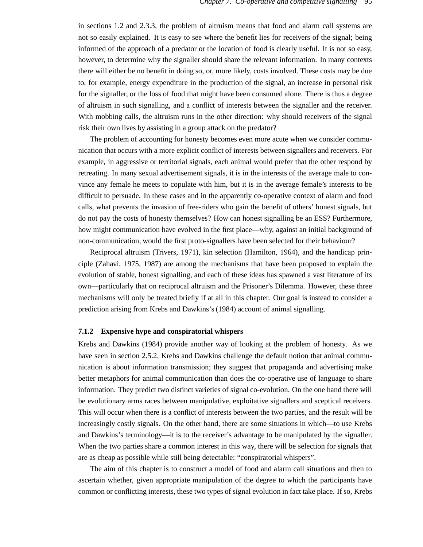in sections 1.2 and 2.3.3, the problem of altruism means that food and alarm call systems are not so easily explained. It is easy to see where the benefit lies for receivers of the signal; being informed of the approach of a predator or the location of food is clearly useful. It is not so easy, however, to determine why the signaller should share the relevant information. In many contexts there will either be no benefit in doing so, or, more likely, costs involved. These costs may be due to, for example, energy expenditure in the production of the signal, an increase in personal risk for the signaller, or the loss of food that might have been consumed alone. There is thus a degree of altruism in such signalling, and a conflict of interests between the signaller and the receiver. With mobbing calls, the altruism runs in the other direction: why should receivers of the signal risk their own lives by assisting in a group attack on the predator?

The problem of accounting for honesty becomes even more acute when we consider communication that occurs with a more explicit conflict of interests between signallers and receivers. For example, in aggressive or territorial signals, each animal would prefer that the other respond by retreating. In many sexual advertisement signals, it is in the interests of the average male to convince any female he meets to copulate with him, but it is in the average female's interests to be difficult to persuade. In these cases and in the apparently co-operative context of alarm and food calls, what prevents the invasion of free-riders who gain the benefit of others' honest signals, but do not pay the costs of honesty themselves? How can honest signalling be an ESS? Furthermore, how might communication have evolved in the first place—why, against an initial background of non-communication, would the first proto-signallers have been selected for their behaviour?

Reciprocal altruism (Trivers, 1971), kin selection (Hamilton, 1964), and the handicap principle (Zahavi, 1975, 1987) are among the mechanisms that have been proposed to explain the evolution of stable, honest signalling, and each of these ideas has spawned a vast literature of its own—particularly that on reciprocal altruism and the Prisoner's Dilemma. However, these three mechanisms will only be treated briefly if at all in this chapter. Our goal is instead to consider a prediction arising from Krebs and Dawkins's (1984) account of animal signalling.

#### **7.1.2 Expensive hype and conspiratorial whispers**

Krebs and Dawkins (1984) provide another way of looking at the problem of honesty. As we have seen in section 2.5.2, Krebs and Dawkins challenge the default notion that animal communication is about information transmission; they suggest that propaganda and advertising make better metaphors for animal communication than does the co-operative use of language to share information. They predict two distinct varieties of signal co-evolution. On the one hand there will be evolutionary arms races between manipulative, exploitative signallers and sceptical receivers. This will occur when there is a conflict of interests between the two parties, and the result will be increasingly costly signals. On the other hand, there are some situations in which—to use Krebs and Dawkins's terminology—it is to the receiver's advantage to be manipulated by the signaller. When the two parties share a common interest in this way, there will be selection for signals that are as cheap as possible while still being detectable: "conspiratorial whispers".

The aim of this chapter is to construct a model of food and alarm call situations and then to ascertain whether, given appropriate manipulation of the degree to which the participants have common or conflicting interests, these two types of signal evolution in fact take place. If so, Krebs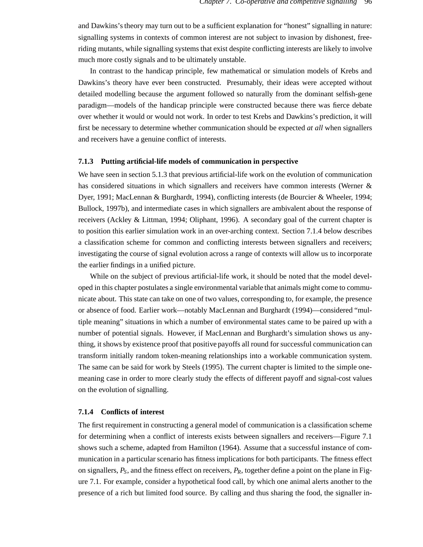and Dawkins'stheory may turn out to be a sufficient explanation for "honest" signalling in nature: signalling systems in contexts of common interest are not subject to invasion by dishonest, freeriding mutants, while signalling systems that exist despite conflicting interests are likely to involve much more costly signals and to be ultimately unstable.

In contrast to the handicap principle, few mathematical or simulation models of Krebs and Dawkins's theory have ever been constructed. Presumably, their ideas were accepted without detailed modelling because the argument followed so naturally from the dominant selfish-gene paradigm—models of the handicap principle were constructed because there was fierce debate over whether it would or would not work. In order to test Krebs and Dawkins's prediction, it will first be necessary to determine whether communication should be expected *at all* when signallers and receivers have a genuine conflict of interests.

### **7.1.3 Putting artificial-life models of communication in perspective**

We have seen in section 5.1.3 that previous artificial-life work on the evolution of communication has considered situations in which signallers and receivers have common interests (Werner & Dyer, 1991; MacLennan & Burghardt, 1994), conflicting interests (de Bourcier & Wheeler, 1994; Bullock, 1997b), and intermediate cases in which signallers are ambivalent about the response of receivers (Ackley & Littman, 1994; Oliphant, 1996). A secondary goal of the current chapter is to position this earlier simulation work in an over-arching context. Section 7.1.4 below describes a classification scheme for common and conflicting interests between signallers and receivers; investigating the course of signal evolution across a range of contexts will allow us to incorporate the earlier findings in a unified picture.

While on the subject of previous artificial-life work, it should be noted that the model developed in this chapter postulates a single environmental variable that animals might come to communicate about. This state can take on one of two values, corresponding to, for example, the presence or absence of food. Earlier work—notably MacLennan and Burghardt (1994)—considered "multiple meaning" situations in which a number of environmental states came to be paired up with a number of potential signals. However, if MacLennan and Burghardt's simulation shows us anything, it shows by existence proof that positive payoffs all round forsuccessful communication can transform initially random token-meaning relationships into a workable communication system. The same can be said for work by Steels (1995). The current chapter is limited to the simple onemeaning case in order to more clearly study the effects of different payoff and signal-cost values on the evolution of signalling.

### **7.1.4 Conflicts of interest**

The first requirement in constructing a general model of communication is a classification scheme for determining when a conflict of interests exists between signallers and receivers—Figure 7.1 shows such a scheme, adapted from Hamilton (1964). Assume that a successful instance of communication in a particular scenario has fitness implications for both participants. The fitness effect on signallers, *PS*, and the fitness effect on receivers, *PR*, together define a point on the plane in Figure 7.1. For example, consider a hypothetical food call, by which one animal alerts another to the presence of a rich but limited food source. By calling and thus sharing the food, the signaller in-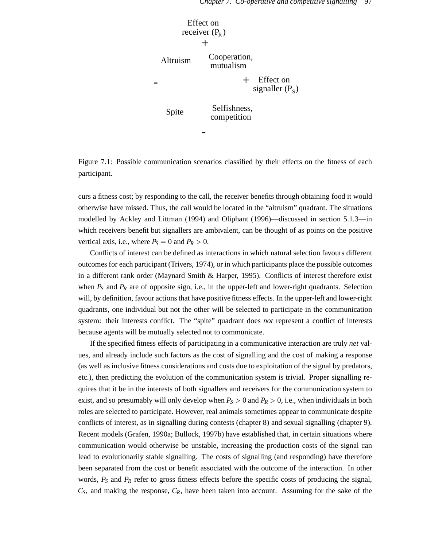

Figure 7.1: Possible communication scenarios classified by their effects on the fitness of each participant.

curs a fitness cost; by responding to the call, the receiver benefits through obtaining food it would otherwise have missed. Thus, the call would be located in the "altruism" quadrant. The situations modelled by Ackley and Littman (1994) and Oliphant (1996)—discussed in section 5.1.3—in which receivers benefit but signallers are ambivalent, can be thought of as points on the positive vertical axis, i.e., where  $P_S = 0$  and  $P_R > 0$ .

Conflicts of interest can be defined as interactions in which natural selection favours different outcomes for each participant (Trivers, 1974), or in which participants place the possible outcomes in a different rank order (Maynard Smith & Harper, 1995). Conflicts of interest therefore exist when  $P_S$  and  $P_R$  are of opposite sign, i.e., in the upper-left and lower-right quadrants. Selection will, by definition, favour actions that have positive fitness effects. In the upper-left and lower-right quadrants, one individual but not the other will be selected to participate in the communication system: their interests conflict. The "spite" quadrant does *not* represent a conflict of interests because agents will be mutually selected not to communicate.

If the specified fitness effects of participating in a communicative interaction are truly *net* values, and already include such factors as the cost of signalling and the cost of making a response (as well as inclusive fitness considerations and costs due to exploitation of the signal by predators, etc.), then predicting the evolution of the communication system is trivial. Proper signalling requires that it be in the interests of both signallers and receivers for the communication system to exist, and so presumably will only develop when  $P_S > 0$  and  $P_R > 0$ , i.e., when individuals in both roles are selected to participate. However, real animals sometimes appear to communicate despite conflicts of interest, as in signalling during contests (chapter 8) and sexual signalling (chapter 9). Recent models (Grafen, 1990a; Bullock, 1997b) have established that, in certain situations where communication would otherwise be unstable, increasing the production costs of the signal can lead to evolutionarily stable signalling. The costs of signalling (and responding) have therefore been separated from the cost or benefit associated with the outcome of the interaction. In other words,  $P_S$  and  $P_R$  refer to gross fitness effects before the specific costs of producing the signal, *CS*, and making the response, *CR*, have been taken into account. Assuming for the sake of the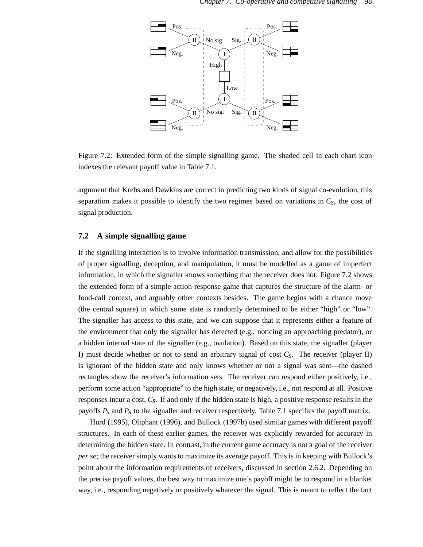

Figure 7.2: Extended form of the simple signalling game. The shaded cell in each chart icon indexes the relevant payoff value in Table 7.1.

argument that Krebs and Dawkins are correct in predicting two kinds of signal co-evolution, this separation makes it possible to identify the two regimes based on variations in *CS*, the cost of signal production.

# **7.2 A simple signalling game**

If the signalling interaction is to involve information transmission, and allow for the possibilities of proper signalling, deception, and manipulation, it must be modelled as a game of imperfect information, in which the signaller knows something that the receiver does not. Figure 7.2 shows the extended form of a simple action-response game that captures the structure of the alarm- or food-call context, and arguably other contexts besides. The game begins with a chance move (the central square) in which some state is randomly determined to be either "high" or "low". The signaller has access to this state, and we can suppose that it represents either a feature of the environment that only the signaller has detected (e.g., noticing an approaching predator), or a hidden internal state of the signaller (e.g., ovulation). Based on this state, the signaller (player I) must decide whether or not to send an arbitrary signal of cost *CS*. The receiver (player II) is ignorant of the hidden state and only knows whether or not a signal was sent—the dashed rectangles show the receiver's information sets. The receiver can respond either positively, i.e., perform some action "appropriate" to the high state, or negatively, i.e., not respond at all. Positive responses incur a cost, *CR*. If and only if the hidden state is high, a positive response results in the payoffs *P<sup>S</sup>* and *P<sup>R</sup>* to the signaller and receiver respectively. Table 7.1 specifies the payoff matrix.

Hurd (1995), Oliphant (1996), and Bullock (1997b) used similar games with different payoff structures. In each of these earlier games, the receiver was explicitly rewarded for accuracy in determining the hidden state. In contrast, in the current game accuracy is not a goal of the receiver *per se*; the receiver simply wants to maximize its average payoff. This is in keeping with Bullock's point about the information requirements of receivers, discussed in section 2.6.2. Depending on the precise payoff values, the best way to maximize one's payoff might be to respond in a blanket way, i.e., responding negatively or positively whatever the signal. This is meant to reflect the fact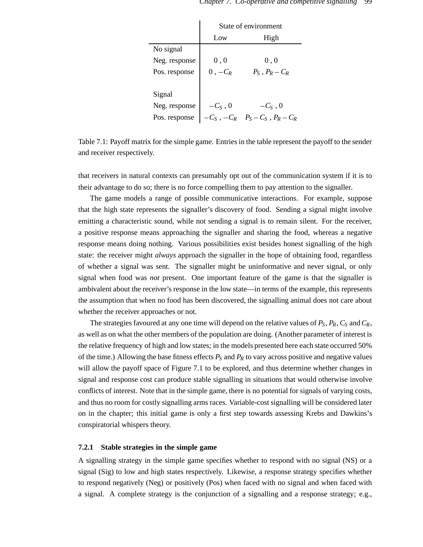|               | State of environment |                                           |  |
|---------------|----------------------|-------------------------------------------|--|
|               | Low                  | High                                      |  |
| No signal     |                      |                                           |  |
| Neg. response | 0, 0                 | 0, 0                                      |  |
| Pos. response | $0, -C_R$            | $P_S$ , $P_R - C_R$                       |  |
|               |                      |                                           |  |
| Signal        |                      |                                           |  |
| Neg. response | $-CS$ , 0            | $-CS$ , 0                                 |  |
| Pos. response |                      | $-C_S$ , $-C_R$ $P_S - C_S$ , $P_R - C_R$ |  |

Table 7.1: Payoff matrix for the simple game. Entriesin the table represent the payoff to the sender and receiver respectively.

that receivers in natural contexts can presumably opt out of the communication system if it is to their advantage to do so; there is no force compelling them to pay attention to the signaller.

The game models a range of possible communicative interactions. For example, suppose that the high state represents the signaller's discovery of food. Sending a signal might involve emitting a characteristic sound, while not sending a signal is to remain silent. For the receiver, a positive response means approaching the signaller and sharing the food, whereas a negative response means doing nothing. Various possibilities exist besides honest signalling of the high state: the receiver might *always* approach the signaller in the hope of obtaining food, regardless of whether a signal was sent. The signaller might be uninformative and never signal, or only signal when food was *not* present. One important feature of the game is that the signaller is ambivalent about the receiver's response in the low state—in terms of the example, this represents the assumption that when no food has been discovered, the signalling animal does not care about whether the receiver approaches or not.

The strategies favoured at any one time will depend on the relative values of  $P_S$ ,  $P_R$ ,  $C_S$  and  $C_R$ , as well as on what the other members of the population are doing. (Another parameter of interest is the relative frequency of high and low states; in the models presented here each state occurred 50% of the time.) Allowing the base fitness effects  $P_S$  and  $P_R$  to vary across positive and negative values will allow the payoff space of Figure 7.1 to be explored, and thus determine whether changes in signal and response cost can produce stable signalling in situations that would otherwise involve conflicts of interest. Note that in the simple game, there is no potential for signals of varying costs, and thus no room for costly signalling arms races. Variable-cost signalling will be considered later on in the chapter; this initial game is only a first step towards assessing Krebs and Dawkins's conspiratorial whispers theory.

### **7.2.1 Stable strategies in the simple game**

A signalling strategy in the simple game specifies whether to respond with no signal (NS) or a signal (Sig) to low and high states respectively. Likewise, a response strategy specifies whether to respond negatively (Neg) or positively (Pos) when faced with no signal and when faced with a signal. A complete strategy is the conjunction of a signalling and a response strategy; e.g.,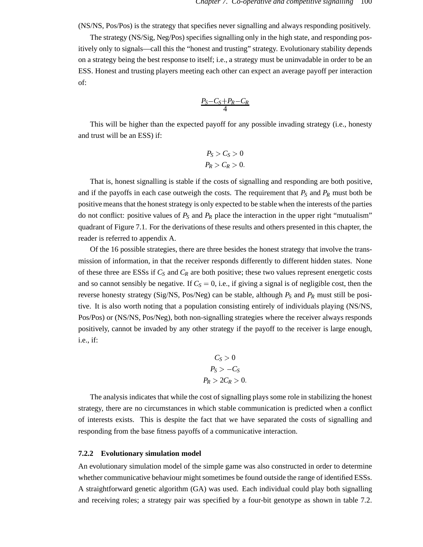(NS/NS, Pos/Pos) is the strategy that specifies never signalling and always responding positively.

The strategy (NS/Sig, Neg/Pos) specifies signalling only in the high state, and responding positively only to signals—call this the "honest and trusting" strategy. Evolutionary stability depends on a strategy being the best response to itself; i.e., a strategy must be uninvadable in order to be an ESS. Honest and trusting players meeting each other can expect an average payoff per interaction of:

$$
\tfrac{P_S - C_S + P_R - C_R}{4}
$$

This will be higher than the expected payoff for any possible invading strategy (i.e., honesty and trust will be an ESS) if:

$$
P_S > C_S > 0
$$
  

$$
P_R > C_R > 0.
$$

That is, honest signalling is stable if the costs of signalling and responding are both positive, and if the payoffs in each case outweigh the costs. The requirement that  $P_S$  and  $P_R$  must both be positive means that the honest strategy is only expected to be stable when the interests of the parties do not conflict: positive values of *P<sup>S</sup>* and *P<sup>R</sup>* place the interaction in the upper right "mutualism" quadrant of Figure 7.1. For the derivations of these results and others presented in this chapter, the reader is referred to appendix A.

Of the 16 possible strategies, there are three besides the honest strategy that involve the transmission of information, in that the receiver responds differently to different hidden states. None of these three are ESSs if *C<sup>S</sup>* and *C<sup>R</sup>* are both positive; these two values represent energetic costs and so cannot sensibly be negative. If  $C_S = 0$ , i.e., if giving a signal is of negligible cost, then the reverse honesty strategy (Sig/NS, Pos/Neg) can be stable, although *P<sup>S</sup>* and *P<sup>R</sup>* must still be positive. It is also worth noting that a population consisting entirely of individuals playing (NS/NS, Pos/Pos) or (NS/NS, Pos/Neg), both non-signalling strategies where the receiver always responds positively, cannot be invaded by any other strategy if the payoff to the receiver is large enough, i.e., if:

$$
C_S > 0
$$
  
\n
$$
P_S > -C_S
$$
  
\n
$$
P_R > 2C_R > 0.
$$

The analysis indicates that while the cost of signalling plays some role in stabilizing the honest strategy, there are no circumstances in which stable communication is predicted when a conflict of interests exists. This is despite the fact that we have separated the costs of signalling and responding from the base fitness payoffs of a communicative interaction.

#### **7.2.2 Evolutionary simulation model**

An evolutionary simulation model of the simple game was also constructed in order to determine whether communicative behaviour might sometimes be found outside the range of identified ESSs. A straightforward genetic algorithm (GA) was used. Each individual could play both signalling and receiving roles; a strategy pair was specified by a four-bit genotype as shown in table 7.2.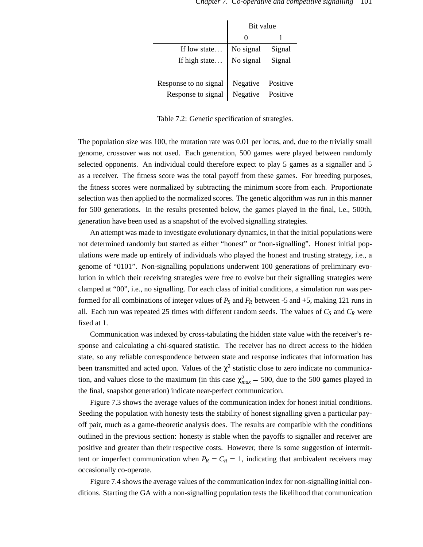|                       | Bit value |          |
|-----------------------|-----------|----------|
|                       |           |          |
| If low state          | No signal | Signal   |
| If high state         | No signal | Signal   |
|                       |           |          |
| Response to no signal | Negative  | Positive |
| Response to signal    | Negative  | Positive |

Table 7.2: Genetic specification of strategies.

The population size was 100, the mutation rate was 0.01 per locus, and, due to the trivially small genome, crossover was not used. Each generation, 500 games were played between randomly selected opponents. An individual could therefore expect to play 5 games as a signaller and 5 as a receiver. The fitness score was the total payoff from these games. For breeding purposes, the fitness scores were normalized by subtracting the minimum score from each. Proportionate selection was then applied to the normalized scores. The genetic algorithm was run in this manner for 500 generations. In the results presented below, the games played in the final, i.e., 500th, generation have been used as a snapshot of the evolved signalling strategies.

An attempt was made to investigate evolutionary dynamics, in that the initial populations were not determined randomly but started as either "honest" or "non-signalling". Honest initial populations were made up entirely of individuals who played the honest and trusting strategy, i.e., a genome of "0101". Non-signalling populations underwent 100 generations of preliminary evolution in which their receiving strategies were free to evolve but their signalling strategies were clamped at "00", i.e., no signalling. For each class of initial conditions, a simulation run was performed for all combinations of integer values of  $P_S$  and  $P_R$  between -5 and +5, making 121 runs in all. Each run was repeated 25 times with different random seeds. The values of  $C_S$  and  $C_R$  were fixed at 1.

Communication was indexed by cross-tabulating the hidden state value with the receiver's response and calculating a chi-squared statistic. The receiver has no direct access to the hidden state, so any reliable correspondence between state and response indicates that information has been transmitted and acted upon. Values of the  $\chi^2$  statistic close to zero indicate no communication, and values close to the maximum (in this case  $\chi^2_{max} = 500$ , due to the 500 games played in the final, snapshot generation) indicate near-perfect communication.

Figure 7.3 shows the average values of the communication index for honest initial conditions. Seeding the population with honesty tests the stability of honest signalling given a particular payoff pair, much as a game-theoretic analysis does. The results are compatible with the conditions outlined in the previous section: honesty is stable when the payoffs to signaller and receiver are positive and greater than their respective costs. However, there is some suggestion of intermittent or imperfect communication when  $P_R = C_R = 1$ , indicating that ambivalent receivers may occasionally co-operate.

Figure 7.4 shows the average values of the communication index for non-signalling initial conditions. Starting the GA with a non-signalling population tests the likelihood that communication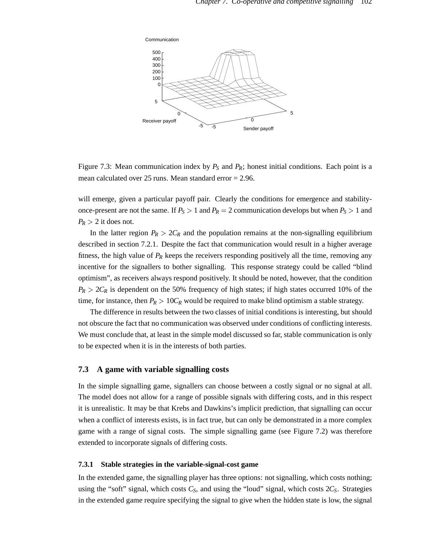

Figure 7.3: Mean communication index by *P<sup>S</sup>* and *PR*; honest initial conditions. Each point is a mean calculated over 25 runs. Mean standard error = 2.96.

will emerge, given a particular payoff pair. Clearly the conditions for emergence and stabilityonce-present are not the same. If  $P_S > 1$  and  $P_R = 2$  communication develops but when  $P_S > 1$  and  $P_R > 2$  it does not.

In the latter region  $P_R > 2C_R$  and the population remains at the non-signalling equilibrium described in section 7.2.1. Despite the fact that communication would result in a higher average fitness, the high value of *P<sup>R</sup>* keeps the receivers responding positively all the time, removing any incentive for the signallers to bother signalling. This response strategy could be called "blind optimism", as receivers always respond positively. It should be noted, however, that the condition  $P_R > 2C_R$  is dependent on the 50% frequency of high states; if high states occurred 10% of the time, for instance, then  $P_R > 10C_R$  would be required to make blind optimism a stable strategy.

The difference in results between the two classes of initial conditions is interesting, but should not obscure the fact that no communication was observed under conditions of conflicting interests. We must conclude that, at least in the simple model discussed so far, stable communication is only to be expected when it is in the interests of both parties.

# **7.3 A game with variable signalling costs**

In the simple signalling game, signallers can choose between a costly signal or no signal at all. The model does not allow for a range of possible signals with differing costs, and in this respect it is unrealistic. It may be that Krebs and Dawkins's implicit prediction, that signalling can occur when a conflict of interests exists, is in fact true, but can only be demonstrated in a more complex game with a range of signal costs. The simple signalling game (see Figure 7.2) was therefore extended to incorporate signals of differing costs.

## **7.3.1 Stable strategies in the variable-signal-cost game**

In the extended game, the signalling player has three options: not signalling, which costs nothing; using the "soft" signal, which costs  $C_S$ , and using the "loud" signal, which costs  $2C_S$ . Strategies in the extended game require specifying the signal to give when the hidden state is low, the signal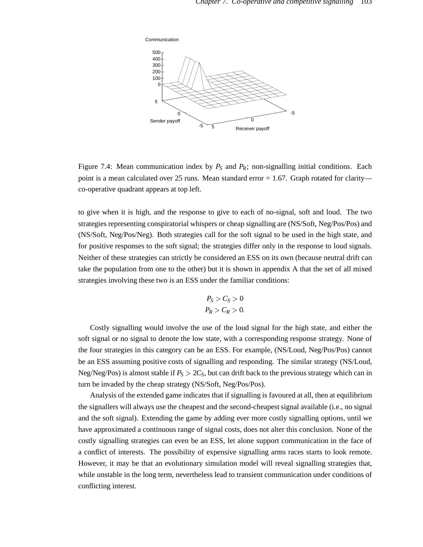

Figure 7.4: Mean communication index by *P<sup>S</sup>* and *PR*; non-signalling initial conditions. Each point is a mean calculated over 25 runs. Mean standard error = 1.67. Graph rotated for clarityco-operative quadrant appears at top left.

to give when it is high, and the response to give to each of no-signal, soft and loud. The two strategies representing conspiratorial whispers or cheap signalling are (NS/Soft, Neg/Pos/Pos) and (NS/Soft, Neg/Pos/Neg). Both strategies call for the soft signal to be used in the high state, and for positive responses to the soft signal; the strategies differ only in the response to loud signals. Neither of these strategies can strictly be considered an ESS on its own (because neutral drift can take the population from one to the other) but it is shown in appendix A that the set of all mixed strategies involving these two is an ESS under the familiar conditions:

$$
P_S > C_S > 0
$$
  

$$
P_R > C_R > 0.
$$

Costly signalling would involve the use of the loud signal for the high state, and either the soft signal or no signal to denote the low state, with a corresponding response strategy. None of the four strategies in this category can be an ESS. For example, (NS/Loud, Neg/Pos/Pos) cannot be an ESS assuming positive costs of signalling and responding. The similar strategy (NS/Loud, Neg/Neg/Pos) is almost stable if  $P_S > 2C_S$ , but can drift back to the previous strategy which can in turn be invaded by the cheap strategy (NS/Soft, Neg/Pos/Pos).

Analysis of the extended game indicates that if signalling is favoured at all, then at equilibrium the signallers will always use the cheapest and the second-cheapest signal available (i.e., no signal and the soft signal). Extending the game by adding ever more costly signalling options, until we have approximated a continuous range of signal costs, does not alter this conclusion. None of the costly signalling strategies can even be an ESS, let alone support communication in the face of a conflict of interests. The possibility of expensive signalling arms races starts to look remote. However, it may be that an evolutionary simulation model will reveal signalling strategies that, while unstable in the long term, nevertheless lead to transient communication under conditions of conflicting interest.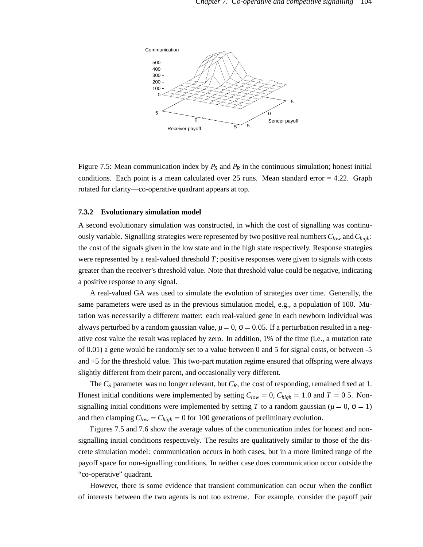

Figure 7.5: Mean communication index by  $P_S$  and  $P_R$  in the continuous simulation; honest initial conditions. Each point is a mean calculated over 25 runs. Mean standard error = 4.22. Graph rotated for clarity—co-operative quadrant appears at top.

## **7.3.2 Evolutionary simulation model**

A second evolutionary simulation was constructed, in which the cost of signalling was continuously variable. Signalling strategies were represented by two positive real numbers *Clow* and*Chigh*: the cost of the signals given in the low state and in the high state respectively. Response strategies were represented by a real-valued threshold *T*; positive responses were given to signals with costs greater than the receiver's threshold value. Note that threshold value could be negative, indicating a positive response to any signal.

A real-valued GA was used to simulate the evolution of strategies over time. Generally, the same parameters were used as in the previous simulation model, e.g., a population of 100. Mutation was necessarily a different matter: each real-valued gene in each newborn individual was always perturbed by a random gaussian value,  $\mu = 0$ ,  $\sigma = 0.05$ . If a perturbation resulted in a negative cost value the result was replaced by zero. In addition, 1% of the time (i.e., a mutation rate of 0.01) a gene would be randomly set to a value between 0 and 5 for signal costs, or between -5 and +5 for the threshold value. This two-part mutation regime ensured that offspring were always slightly different from their parent, and occasionally very different.

The *C<sup>S</sup>* parameter was no longer relevant, but *CR*, the cost of responding, remained fixed at 1. Honest initial conditions were implemented by setting  $C_{low} = 0$ ,  $C_{high} = 1.0$  and  $T = 0.5$ . Nonsignalling initial conditions were implemented by setting *T* to a random gaussian ( $\mu = 0$ ,  $\sigma = 1$ ) and then clamping  $C_{low} = C_{high} = 0$  for 100 generations of preliminary evolution.

Figures 7.5 and 7.6 show the average values of the communication index for honest and nonsignalling initial conditions respectively. The results are qualitatively similar to those of the discrete simulation model: communication occurs in both cases, but in a more limited range of the payoff space for non-signalling conditions. In neither case does communication occur outside the "co-operative" quadrant.

However, there is some evidence that transient communication can occur when the conflict of interests between the two agents is not too extreme. For example, consider the payoff pair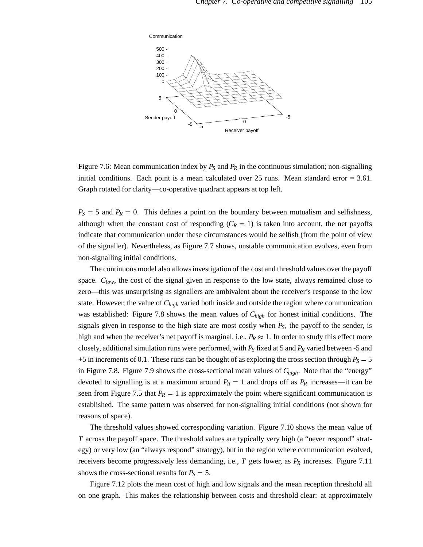

Figure 7.6: Mean communication index by  $P_S$  and  $P_R$  in the continuous simulation; non-signalling initial conditions. Each point is a mean calculated over 25 runs. Mean standard error  $= 3.61$ . Graph rotated for clarity—co-operative quadrant appears at top left.

 $P_S = 5$  and  $P_R = 0$ . This defines a point on the boundary between mutualism and selfishness, although when the constant cost of responding  $(C_R = 1)$  is taken into account, the net payoffs indicate that communication under these circumstances would be selfish (from the point of view of the signaller). Nevertheless, as Figure 7.7 shows, unstable communication evolves, even from non-signalling initial conditions.

The continuous model also allowsinvestigation of the cost and threshold values over the payoff space. *Clow*, the cost of the signal given in response to the low state, always remained close to zero—this was unsurprising as signallers are ambivalent about the receiver's response to the low state. However, the value of *Chigh* varied both inside and outside the region where communication was established: Figure 7.8 shows the mean values of *Chigh* for honest initial conditions. The signals given in response to the high state are most costly when *PS*, the payoff to the sender, is high and when the receiver's net payoff is marginal, i.e.,  $P_R \approx 1$ . In order to study this effect more closely, additionalsimulation runs were performed, with *P<sup>S</sup>* fixed at 5 and *P<sup>R</sup>* varied between -5 and +5 in increments of 0.1. These runs can be thought of as exploring the cross section through  $P_S = 5$ in Figure 7.8. Figure 7.9 shows the cross-sectional mean values of *Chigh*. Note that the "energy" devoted to signalling is at a maximum around  $P_R = 1$  and drops off as  $P_R$  increases—it can be seen from Figure 7.5 that  $P_R = 1$  is approximately the point where significant communication is established. The same pattern was observed for non-signalling initial conditions (not shown for reasons of space).

The threshold values showed corresponding variation. Figure 7.10 shows the mean value of *T* across the payoff space. The threshold values are typically very high (a "never respond" strategy) or very low (an "always respond" strategy), but in the region where communication evolved, receivers become progressively less demanding, i.e., *T* gets lower, as *P<sup>R</sup>* increases. Figure 7.11 shows the cross-sectional results for  $P_S = 5$ .

Figure 7.12 plots the mean cost of high and low signals and the mean reception threshold all on one graph. This makes the relationship between costs and threshold clear: at approximately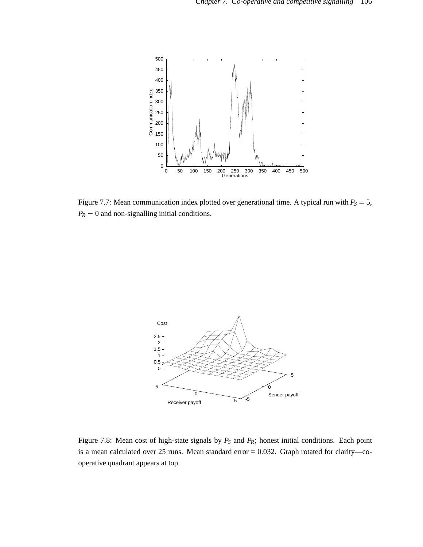

Figure 7.7: Mean communication index plotted over generational time. A typical run with  $P_S = 5$ ,  $P_R = 0$  and non-signalling initial conditions.



Figure 7.8: Mean cost of high-state signals by *P<sup>S</sup>* and *PR*; honest initial conditions. Each point is a mean calculated over 25 runs. Mean standard error = 0.032. Graph rotated for clarity—cooperative quadrant appears at top.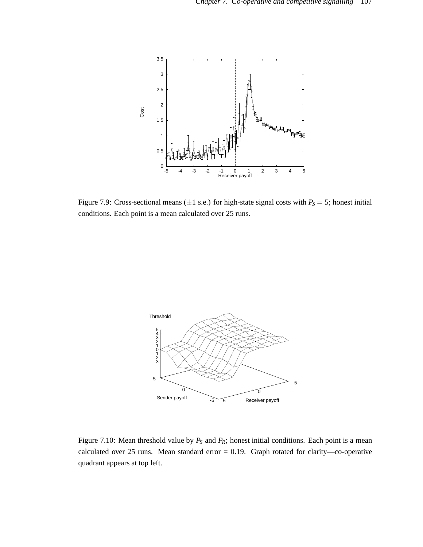

Figure 7.9: Cross-sectional means ( $\pm 1$  s.e.) for high-state signal costs with  $P_S = 5$ ; honest initial conditions. Each point is a mean calculated over 25 runs.



Figure 7.10: Mean threshold value by  $P_S$  and  $P_R$ ; honest initial conditions. Each point is a mean calculated over 25 runs. Mean standard error  $= 0.19$ . Graph rotated for clarity—co-operative quadrant appears at top left.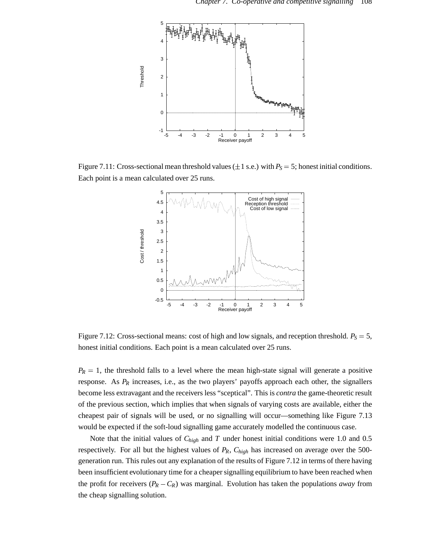

Figure 7.11: Cross-sectional mean threshold values ( $\pm 1$  s.e.) with  $P_S = 5$ ; honest initial conditions. Each point is a mean calculated over 25 runs.



Figure 7.12: Cross-sectional means: cost of high and low signals, and reception threshold.  $P_S = 5$ , honest initial conditions. Each point is a mean calculated over 25 runs.

 $P_R = 1$ , the threshold falls to a level where the mean high-state signal will generate a positive response. As *P<sup>R</sup>* increases, i.e., as the two players' payoffs approach each other, the signallers become less extravagant and the receivers less "sceptical". This is *contra* the game-theoretic result of the previous section, which implies that when signals of varying costs are available, either the cheapest pair of signals will be used, or no signalling will occur—something like Figure 7.13 would be expected if the soft-loud signalling game accurately modelled the continuous case.

Note that the initial values of  $C_{high}$  and *T* under honest initial conditions were 1.0 and 0.5 respectively. For all but the highest values of *PR*, *Chigh* has increased on average over the 500 generation run. This rules out any explanation of the results of Figure 7.12 in terms of there having been insufficient evolutionary time for a cheaper signalling equilibrium to have been reached when the profit for receivers  $(P_R - C_R)$  was marginal. Evolution has taken the populations *away* from the cheap signalling solution.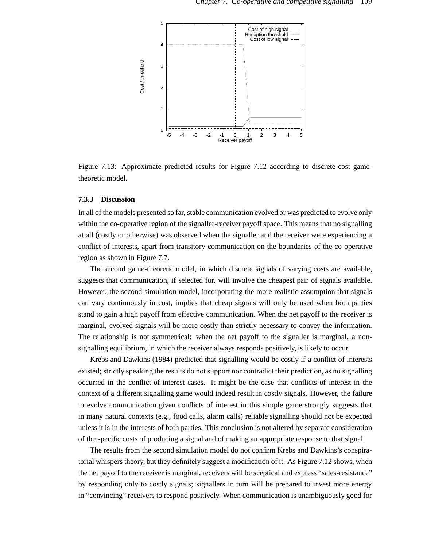

Figure 7.13: Approximate predicted results for Figure 7.12 according to discrete-cost gametheoretic model.

#### **7.3.3 Discussion**

In all of the models presented so far, stable communication evolved or was predicted to evolve only within the co-operative region of the signaller-receiver payoff space. This means that no signalling at all (costly or otherwise) was observed when the signaller and the receiver were experiencing a conflict of interests, apart from transitory communication on the boundaries of the co-operative region as shown in Figure 7.7.

The second game-theoretic model, in which discrete signals of varying costs are available, suggests that communication, if selected for, will involve the cheapest pair of signals available. However, the second simulation model, incorporating the more realistic assumption that signals can vary continuously in cost, implies that cheap signals will only be used when both parties stand to gain a high payoff from effective communication. When the net payoff to the receiver is marginal, evolved signals will be more costly than strictly necessary to convey the information. The relationship is not symmetrical: when the net payoff to the signaller is marginal, a nonsignalling equilibrium, in which the receiver always responds positively, is likely to occur.

Krebs and Dawkins (1984) predicted that signalling would be costly if a conflict of interests existed; strictly speaking the results do not support nor contradict their prediction, as no signalling occurred in the conflict-of-interest cases. It might be the case that conflicts of interest in the context of a different signalling game would indeed result in costly signals. However, the failure to evolve communication given conflicts of interest in this simple game strongly suggests that in many natural contexts (e.g., food calls, alarm calls) reliable signalling should not be expected unless it is in the interests of both parties. This conclusion is not altered by separate consideration of the specific costs of producing a signal and of making an appropriate response to that signal.

The results from the second simulation model do not confirm Krebs and Dawkins's conspiratorial whispers theory, but they definitely suggest a modification of it. As Figure 7.12 shows, when the net payoff to the receiver is marginal, receivers will be sceptical and express "sales-resistance" by responding only to costly signals; signallers in turn will be prepared to invest more energy in "convincing" receivers to respond positively. When communication is unambiguously good for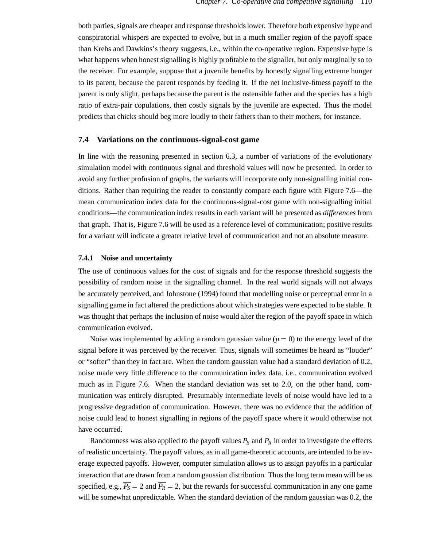both parties, signals are cheaper and response thresholdslower. Therefore both expensive hype and conspiratorial whispers are expected to evolve, but in a much smaller region of the payoff space than Krebs and Dawkins's theory suggests, i.e., within the co-operative region. Expensive hype is what happens when honest signalling is highly profitable to the signaller, but only marginally so to the receiver. For example, suppose that a juvenile benefits by honestly signalling extreme hunger to its parent, because the parent responds by feeding it. If the net inclusive-fitness payoff to the parent is only slight, perhaps because the parent is the ostensible father and the species has a high ratio of extra-pair copulations, then costly signals by the juvenile are expected. Thus the model predicts that chicks should beg more loudly to their fathers than to their mothers, for instance.

## **7.4 Variations on the continuous-signal-cost game**

In line with the reasoning presented in section 6.3, a number of variations of the evolutionary simulation model with continuous signal and threshold values will now be presented. In order to avoid any further profusion of graphs, the variants will incorporate only non-signalling initial conditions. Rather than requiring the reader to constantly compare each figure with Figure 7.6—the mean communication index data for the continuous-signal-cost game with non-signalling initial conditions—the communication index results in each variant will be presented as *differences* from that graph. That is, Figure 7.6 will be used as a reference level of communication; positive results for a variant will indicate a greater relative level of communication and not an absolute measure.

## **7.4.1 Noise and uncertainty**

The use of continuous values for the cost of signals and for the response threshold suggests the possibility of random noise in the signalling channel. In the real world signals will not always be accurately perceived, and Johnstone (1994) found that modelling noise or perceptual error in a signalling game in fact altered the predictions about which strategies were expected to be stable. It was thought that perhaps the inclusion of noise would alter the region of the payoffspace in which communication evolved.

Noise was implemented by adding a random gaussian value  $(\mu = 0)$  to the energy level of the signal before it was perceived by the receiver. Thus, signals will sometimes be heard as "louder" or "softer" than they in fact are. When the random gaussian value had a standard deviation of 0.2, noise made very little difference to the communication index data, i.e., communication evolved much as in Figure 7.6. When the standard deviation was set to 2.0, on the other hand, communication was entirely disrupted. Presumably intermediate levels of noise would have led to a progressive degradation of communication. However, there was no evidence that the addition of noise could lead to honest signalling in regions of the payoff space where it would otherwise not have occurred.

Randomness was also applied to the payoff values  $P_S$  and  $P_R$  in order to investigate the effects of realistic uncertainty. The payoff values, as in all game-theoretic accounts, are intended to be average expected payoffs. However, computer simulation allows us to assign payoffs in a particular interaction that are drawn from a random gaussian distribution. Thus the long term mean will be as specified, e.g.,  $\overline{P_S} = 2$  and  $\overline{P_R} = 2$ , but the rewards for successful communication in any one game will be somewhat unpredictable. When the standard deviation of the random gaussian was 0.2, the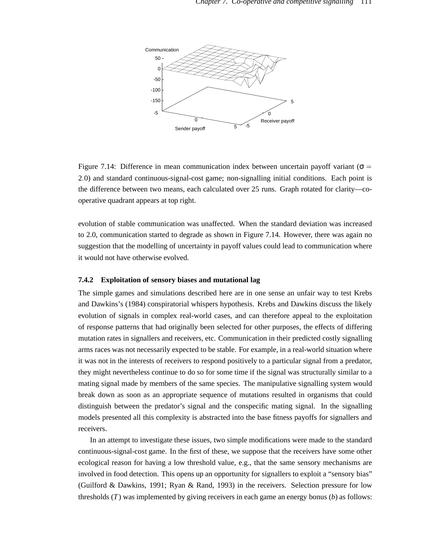

Figure 7.14: Difference in mean communication index between uncertain payoff variant ( $\sigma$  = 2.0) and standard continuous-signal-cost game; non-signalling initial conditions. Each point is the difference between two means, each calculated over 25 runs. Graph rotated for clarity—cooperative quadrant appears at top right.

evolution of stable communication was unaffected. When the standard deviation was increased to 2.0, communication started to degrade as shown in Figure 7.14. However, there was again no suggestion that the modelling of uncertainty in payoff values could lead to communication where it would not have otherwise evolved.

## **7.4.2 Exploitation of sensory biases and mutational lag**

The simple games and simulations described here are in one sense an unfair way to test Krebs and Dawkins's (1984) conspiratorial whispers hypothesis. Krebs and Dawkins discuss the likely evolution of signals in complex real-world cases, and can therefore appeal to the exploitation of response patterns that had originally been selected for other purposes, the effects of differing mutation rates in signallers and receivers, etc. Communication in their predicted costly signalling arms races was not necessarily expected to be stable. For example, in a real-world situation where it was not in the interests of receivers to respond positively to a particular signal from a predator, they might nevertheless continue to do so for some time if the signal was structurally similar to a mating signal made by members of the same species. The manipulative signalling system would break down as soon as an appropriate sequence of mutations resulted in organisms that could distinguish between the predator's signal and the conspecific mating signal. In the signalling models presented all this complexity is abstracted into the base fitness payoffs for signallers and receivers.

In an attempt to investigate these issues, two simple modifications were made to the standard continuous-signal-cost game. In the first of these, we suppose that the receivers have some other ecological reason for having a low threshold value, e.g., that the same sensory mechanisms are involved in food detection. This opens up an opportunity for signallers to exploit a "sensory bias" (Guilford & Dawkins, 1991; Ryan & Rand, 1993) in the receivers. Selection pressure for low thresholds (*T*) was implemented by giving receivers in each game an energy bonus (*b*) as follows: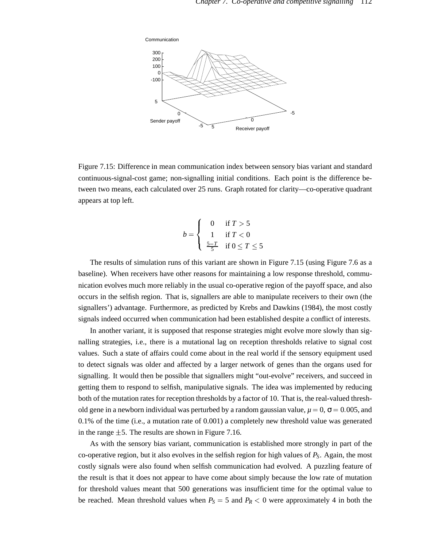

Figure 7.15: Difference in mean communication index between sensory bias variant and standard continuous-signal-cost game; non-signalling initial conditions. Each point is the difference between two means, each calculated over 25 runs. Graph rotated for clarity—co-operative quadrant appears at top left.

$$
b = \begin{cases} 0 & \text{if } T > 5\\ 1 & \text{if } T < 0\\ \frac{5 - T}{5} & \text{if } 0 \le T \le 5 \end{cases}
$$

The results of simulation runs of this variant are shown in Figure 7.15 (using Figure 7.6 as a baseline). When receivers have other reasons for maintaining a low response threshold, communication evolves much more reliably in the usual co-operative region of the payoff space, and also occurs in the selfish region. That is, signallers are able to manipulate receivers to their own (the signallers') advantage. Furthermore, as predicted by Krebs and Dawkins (1984), the most costly signals indeed occurred when communication had been established despite a conflict of interests.

In another variant, it is supposed that response strategies might evolve more slowly than signalling strategies, i.e., there is a mutational lag on reception thresholds relative to signal cost values. Such a state of affairs could come about in the real world if the sensory equipment used to detect signals was older and affected by a larger network of genes than the organs used for signalling. It would then be possible that signallers might "out-evolve" receivers, and succeed in getting them to respond to selfish, manipulative signals. The idea was implemented by reducing both of the mutation rates for reception thresholds by a factor of 10. That is, the real-valued threshold gene in a newborn individual was perturbed by a random gaussian value,  $\mu = 0$ ,  $\sigma = 0.005$ , and 0.1% of the time (i.e., a mutation rate of 0.001) a completely new threshold value was generated in the range  $\pm$ 5. The results are shown in Figure 7.16.

As with the sensory bias variant, communication is established more strongly in part of the co-operative region, but it also evolves in the selfish region for high values of *PS*. Again, the most costly signals were also found when selfish communication had evolved. A puzzling feature of the result is that it does not appear to have come about simply because the low rate of mutation for threshold values meant that 500 generations was insufficient time for the optimal value to be reached. Mean threshold values when  $P_S = 5$  and  $P_R < 0$  were approximately 4 in both the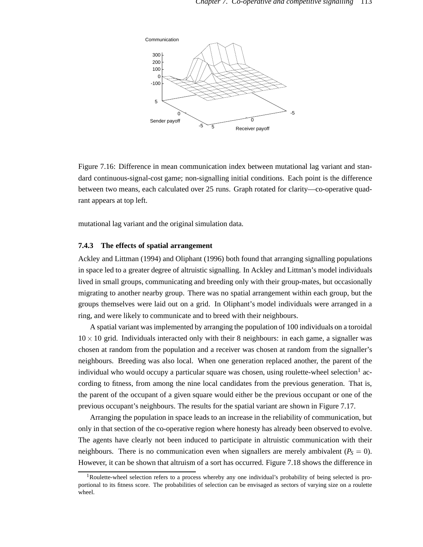

Figure 7.16: Difference in mean communication index between mutational lag variant and standard continuous-signal-cost game; non-signalling initial conditions. Each point is the difference between two means, each calculated over 25 runs. Graph rotated for clarity—co-operative quadrant appears at top left.

mutational lag variant and the original simulation data.

## **7.4.3 The effects of spatial arrangement**

Ackley and Littman (1994) and Oliphant (1996) both found that arranging signalling populations in space led to a greater degree of altruistic signalling. In Ackley and Littman's model individuals lived in small groups, communicating and breeding only with their group-mates, but occasionally migrating to another nearby group. There was no spatial arrangement within each group, but the groups themselves were laid out on a grid. In Oliphant's model individuals were arranged in a ring, and were likely to communicate and to breed with their neighbours.

A spatial variant was implemented by arranging the population of 100 individuals on a toroidal  $10 \times 10$  grid. Individuals interacted only with their 8 neighbours: in each game, a signaller was chosen at random from the population and a receiver was chosen at random from the signaller's neighbours. Breeding was also local. When one generation replaced another, the parent of the individual who would occupy a particular square was chosen, using roulette-wheel selection<sup>1</sup> according to fitness, from among the nine local candidates from the previous generation. That is, the parent of the occupant of a given square would either be the previous occupant or one of the previous occupant's neighbours. The results for the spatial variant are shown in Figure 7.17.

Arranging the population in space leads to an increase in the reliability of communication, but only in that section of the co-operative region where honesty has already been observed to evolve. The agents have clearly not been induced to participate in altruistic communication with their neighbours. There is no communication even when signallers are merely ambivalent ( $P<sub>S</sub> = 0$ ). However, it can be shown that altruism of a sort has occurred. Figure 7.18 shows the difference in

<sup>&</sup>lt;sup>1</sup>Roulette-wheel selection refers to a process whereby any one individual's probability of being selected is proportional to its fitness score. The probabilities of selection can be envisaged as sectors of varying size on a roulette wheel.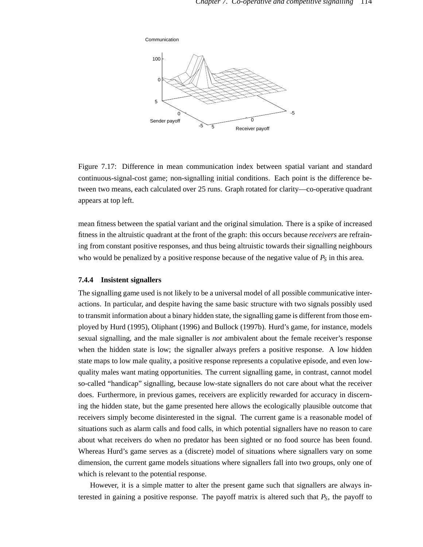

Figure 7.17: Difference in mean communication index between spatial variant and standard continuous-signal-cost game; non-signalling initial conditions. Each point is the difference between two means, each calculated over 25 runs. Graph rotated for clarity—co-operative quadrant appears at top left.

mean fitness between the spatial variant and the original simulation. There is a spike of increased fitness in the altruistic quadrant at the front of the graph: this occurs because *receivers* are refraining from constant positive responses, and thus being altruistic towards their signalling neighbours who would be penalized by a positive response because of the negative value of *P<sup>S</sup>* in this area.

## **7.4.4 Insistent signallers**

The signalling game used is not likely to be a universal model of all possible communicative interactions. In particular, and despite having the same basic structure with two signals possibly used to transmit information about a binary hidden state, the signalling game is different from those employed by Hurd (1995), Oliphant (1996) and Bullock (1997b). Hurd's game, for instance, models sexual signalling, and the male signaller is *not* ambivalent about the female receiver's response when the hidden state is low; the signaller always prefers a positive response. A low hidden state maps to low male quality, a positive response represents a copulative episode, and even lowquality males want mating opportunities. The current signalling game, in contrast, cannot model so-called "handicap" signalling, because low-state signallers do not care about what the receiver does. Furthermore, in previous games, receivers are explicitly rewarded for accuracy in discerning the hidden state, but the game presented here allows the ecologically plausible outcome that receivers simply become disinterested in the signal. The current game is a reasonable model of situations such as alarm calls and food calls, in which potential signallers have no reason to care about what receivers do when no predator has been sighted or no food source has been found. Whereas Hurd's game serves as a (discrete) model of situations where signallers vary on some dimension, the current game models situations where signallers fall into two groups, only one of which is relevant to the potential response.

However, it is a simple matter to alter the present game such that signallers are always interested in gaining a positive response. The payoff matrix is altered such that *PS*, the payoff to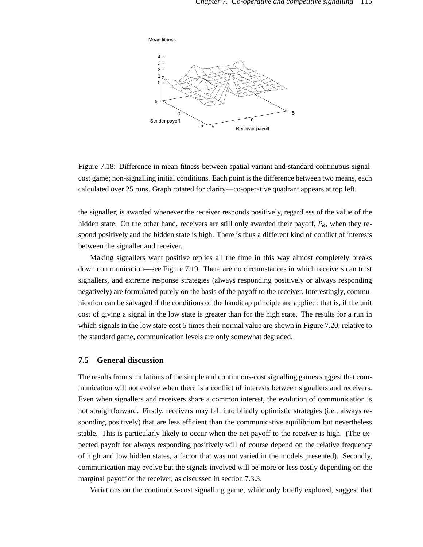

Figure 7.18: Difference in mean fitness between spatial variant and standard continuous-signalcost game; non-signalling initial conditions. Each point is the difference between two means, each calculated over 25 runs. Graph rotated for clarity—co-operative quadrant appears at top left.

the signaller, is awarded whenever the receiver responds positively, regardless of the value of the hidden state. On the other hand, receivers are still only awarded their payoff, *PR*, when they respond positively and the hidden state is high. There is thus a different kind of conflict of interests between the signaller and receiver.

Making signallers want positive replies all the time in this way almost completely breaks down communication—see Figure 7.19. There are no circumstances in which receivers can trust signallers, and extreme response strategies (always responding positively or always responding negatively) are formulated purely on the basis of the payoff to the receiver. Interestingly, communication can be salvaged if the conditions of the handicap principle are applied: that is, if the unit cost of giving a signal in the low state is greater than for the high state. The results for a run in which signals in the low state cost 5 times their normal value are shown in Figure 7.20; relative to the standard game, communication levels are only somewhat degraded.

# **7.5 General discussion**

The results from simulations of the simple and continuous-cost signalling games suggest that communication will not evolve when there is a conflict of interests between signallers and receivers. Even when signallers and receivers share a common interest, the evolution of communication is not straightforward. Firstly, receivers may fall into blindly optimistic strategies (i.e., always responding positively) that are less efficient than the communicative equilibrium but nevertheless stable. This is particularly likely to occur when the net payoff to the receiver is high. (The expected payoff for always responding positively will of course depend on the relative frequency of high and low hidden states, a factor that was not varied in the models presented). Secondly, communication may evolve but the signals involved will be more or less costly depending on the marginal payoff of the receiver, as discussed in section 7.3.3.

Variations on the continuous-cost signalling game, while only briefly explored, suggest that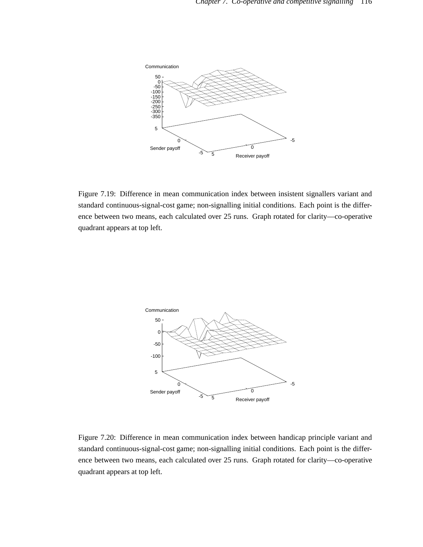

Figure 7.19: Difference in mean communication index between insistent signallers variant and standard continuous-signal-cost game; non-signalling initial conditions. Each point is the difference between two means, each calculated over 25 runs. Graph rotated for clarity—co-operative quadrant appears at top left.



Figure 7.20: Difference in mean communication index between handicap principle variant and standard continuous-signal-cost game; non-signalling initial conditions. Each point is the difference between two means, each calculated over 25 runs. Graph rotated for clarity—co-operative quadrant appears at top left.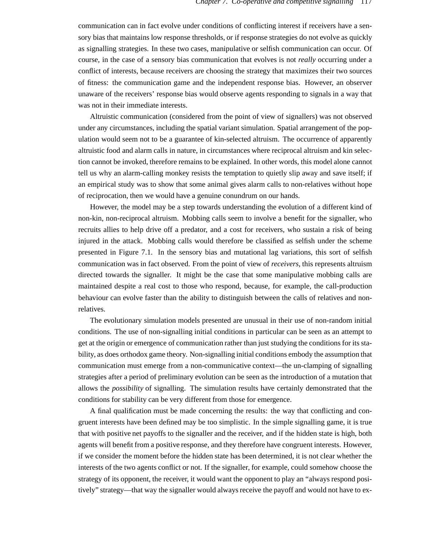communication can in fact evolve under conditions of conflicting interest if receivers have a sensory bias that maintains low response thresholds, or if response strategies do not evolve as quickly as signalling strategies. In these two cases, manipulative or selfish communication can occur. Of course, in the case of a sensory bias communication that evolves is not *really* occurring under a conflict of interests, because receivers are choosing the strategy that maximizes their two sources of fitness: the communication game and the independent response bias. However, an observer unaware of the receivers' response bias would observe agents responding to signals in a way that was not in their immediate interests.

Altruistic communication (considered from the point of view of signallers) was not observed under any circumstances, including the spatial variant simulation. Spatial arrangement of the population would seem not to be a guarantee of kin-selected altruism. The occurrence of apparently altruistic food and alarm calls in nature, in circumstances where reciprocal altruism and kin selection cannot be invoked, therefore remains to be explained. In other words, this model alone cannot tell us why an alarm-calling monkey resists the temptation to quietly slip away and save itself; if an empirical study was to show that some animal gives alarm calls to non-relatives without hope of reciprocation, then we would have a genuine conundrum on our hands.

However, the model may be a step towards understanding the evolution of a different kind of non-kin, non-reciprocal altruism. Mobbing calls seem to involve a benefit for the signaller, who recruits allies to help drive off a predator, and a cost for receivers, who sustain a risk of being injured in the attack. Mobbing calls would therefore be classified as selfish under the scheme presented in Figure 7.1. In the sensory bias and mutational lag variations, this sort of selfish communication was in fact observed. From the point of view of *receivers*, this represents altruism directed towards the signaller. It might be the case that some manipulative mobbing calls are maintained despite a real cost to those who respond, because, for example, the call-production behaviour can evolve faster than the ability to distinguish between the calls of relatives and nonrelatives.

The evolutionary simulation models presented are unusual in their use of non-random initial conditions. The use of non-signalling initial conditions in particular can be seen as an attempt to get at the origin or emergence of communication rather than just studying the conditions for its stability, as does orthodox game theory. Non-signalling initial conditions embody the assumption that communication must emerge from a non-communicative context—the un-clamping of signalling strategies after a period of preliminary evolution can be seen as the introduction of a mutation that allows the *possibility* of signalling. The simulation results have certainly demonstrated that the conditions for stability can be very different from those for emergence.

A final qualification must be made concerning the results: the way that conflicting and congruent interests have been defined may be too simplistic. In the simple signalling game, it is true that with positive net payoffs to the signaller and the receiver, and if the hidden state is high, both agents will benefit from a positive response, and they therefore have congruent interests. However, if we consider the moment before the hidden state has been determined, it is not clear whether the interests of the two agents conflict or not. If the signaller, for example, could somehow choose the strategy of its opponent, the receiver, it would want the opponent to play an "always respond positively" strategy—that way the signaller would always receive the payoff and would not have to ex-